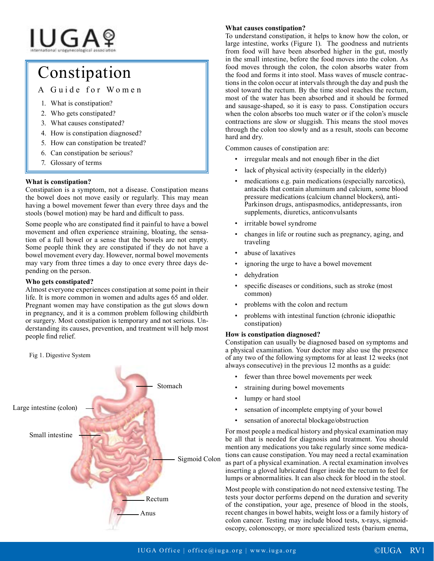# IUGAº

# Constipation

A Guide for Women

- 1. What is constipation?
- 2. Who gets constipated?
- 3. What causes constipated?
- 4. How is constipation diagnosed?
- 5. How can constipation be treated?
- 6. Can constipation be serious?
- 7. Glossary of terms

# **What is constipation?**

Constipation is a symptom, not a disease. Constipation means the bowel does not move easily or regularly. This may mean having a bowel movement fewer than every three days and the stools (bowel motion) may be hard and difficult to pass.

Some people who are constipated find it painful to have a bowel movement and often experience straining, bloating, the sensation of a full bowel or a sense that the bowels are not empty. Some people think they are constipated if they do not have a bowel movement every day. However, normal bowel movements may vary from three times a day to once every three days depending on the person.

# **Who gets constipated?**

Almost everyone experiences constipation at some point in their life. It is more common in women and adults ages 65 and older. Pregnant women may have constipation as the gut slows down in pregnancy, and it is a common problem following childbirth or surgery. Most constipation is temporary and not serious. Understanding its causes, prevention, and treatment will help most people find relief.



# **What causes constipation?**

To understand constipation, it helps to know how the colon, or large intestine, works (Figure 1). The goodness and nutrients from food will have been absorbed higher in the gut, mostly in the small intestine, before the food moves into the colon. As food moves through the colon, the colon absorbs water from the food and forms it into stool. Mass waves of muscle contractions in the colon occur at intervals through the day and push the stool toward the rectum. By the time stool reaches the rectum, most of the water has been absorbed and it should be formed and sausage-shaped, so it is easy to pass. Constipation occurs when the colon absorbs too much water or if the colon's muscle contractions are slow or sluggish. This means the stool moves through the colon too slowly and as a result, stools can become hard and dry.

Common causes of constipation are:

- irregular meals and not enough fiber in the diet
- lack of physical activity (especially in the elderly)
- medications e.g. pain medications (especially narcotics), antacids that contain aluminum and calcium, some blood pressure medications (calcium channel blockers), anti-Parkinson drugs, antispasmodics, antidepressants, iron supplements, diuretics, anticonvulsants
- irritable bowel syndrome
- changes in life or routine such as pregnancy, aging, and traveling
- abuse of laxatives
- ignoring the urge to have a bowel movement
- dehydration
- specific diseases or conditions, such as stroke (most common)
- problems with the colon and rectum
- problems with intestinal function (chronic idiopathic constipation)

# **How is constipation diagnosed?**

Constipation can usually be diagnosed based on symptoms and a physical examination. Your doctor may also use the presence of any two of the following symptoms for at least 12 weeks (not always consecutive) in the previous 12 months as a guide:

- fewer than three bowel movements per week
- straining during bowel movements
- lumpy or hard stool
- sensation of incomplete emptying of your bowel
- sensation of anorectal blockage/obstruction

For most people a medical history and physical examination may be all that is needed for diagnosis and treatment. You should mention any medications you take regularly since some medications can cause constipation. You may need a rectal examination as part of a physical examination. A rectal examination involves inserting a gloved lubricated finger inside the rectum to feel for lumps or abnormalities. It can also check for blood in the stool.

Most people with constipation do not need extensive testing. The tests your doctor performs depend on the duration and severity of the constipation, your age, presence of blood in the stools, recent changes in bowel habits, weight loss or a family history of colon cancer. Testing may include blood tests, x-rays, sigmoidoscopy, colonoscopy, or more specialized tests (barium enema,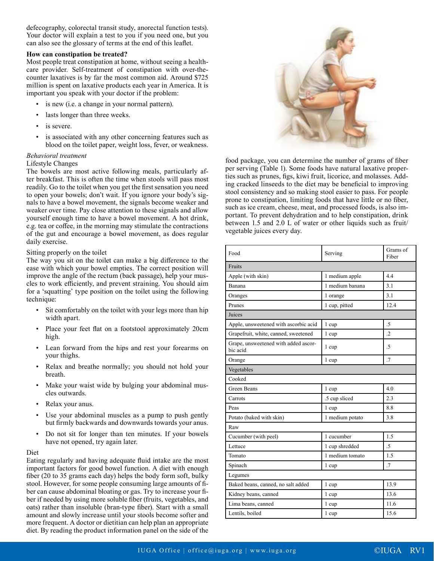defecography, colorectal transit study, anorectal function tests). Your doctor will explain a test to you if you need one, but you can also see the glossary of terms at the end of this leaflet.

### **How can constipation be treated?**

Most people treat constipation at home, without seeing a healthcare provider. Self-treatment of constipation with over-thecounter laxatives is by far the most common aid. Around \$725 million is spent on laxative products each year in America. It is important you speak with your doctor if the problem:

- is new (i.e. a change in your normal pattern).
- lasts longer than three weeks.
- is severe.
- is associated with any other concerning features such as blood on the toilet paper, weight loss, fever, or weakness.

## *Behavioral treatment*

### Lifestyle Changes

The bowels are most active following meals, particularly after breakfast. This is often the time when stools will pass most readily. Go to the toilet when you get the first sensation you need to open your bowels; don't wait. If you ignore your body's signals to have a bowel movement, the signals become weaker and weaker over time. Pay close attention to these signals and allow yourself enough time to have a bowel movement. A hot drink, e.g. tea or coffee, in the morning may stimulate the contractions of the gut and encourage a bowel movement, as does regular daily exercise.

#### Sitting properly on the toilet

The way you sit on the toilet can make a big difference to the ease with which your bowel empties. The correct position will improve the angle of the rectum (back passage), help your muscles to work efficiently, and prevent straining. You should aim for a 'squatting' type position on the toilet using the following technique:

- Sit comfortably on the toilet with your legs more than hip width apart.
- Place your feet flat on a footstool approximately 20cm high.
- Lean forward from the hips and rest your forearms on your thighs.
- Relax and breathe normally; you should not hold your breath.
- Make your waist wide by bulging your abdominal muscles outwards.
- Relax your anus.
- Use your abdominal muscles as a pump to push gently but firmly backwards and downwards towards your anus.
- Do not sit for longer than ten minutes. If your bowels have not opened, try again later.

#### Diet

Eating regularly and having adequate fluid intake are the most important factors for good bowel function. A diet with enough fiber (20 to 35 grams each day) helps the body form soft, bulky stool. However, for some people consuming large amounts of fiber can cause abdominal bloating or gas. Try to increase your fiber if needed by using more soluble fiber (fruits, vegetables, and oats) rather than insoluble (bran-type fiber). Start with a small amount and slowly increase until your stools become softer and more frequent. A doctor or dietitian can help plan an appropriate diet. By reading the product information panel on the side of the



food package, you can determine the number of grams of fiber per serving (Table 1). Some foods have natural laxative properties such as prunes, figs, kiwi fruit, licorice, and molasses. Adding cracked linseeds to the diet may be beneficial to improving stool consistency and so making stool easier to pass. For people prone to constipation, limiting foods that have little or no fiber, such as ice cream, cheese, meat, and processed foods, is also important. To prevent dehydration and to help constipation, drink between 1.5 and 2.0 L of water or other liquids such as fruit/ vegetable juices every day.

| Food                                             | Serving         | Grams of<br>Fiber |  |
|--------------------------------------------------|-----------------|-------------------|--|
| Fruits                                           |                 |                   |  |
| Apple (with skin)                                | 1 medium apple  | 4.4               |  |
| Banana                                           | 1 medium banana | 3.1               |  |
| Oranges                                          | 1 orange        | 3.1               |  |
| Prunes                                           | 1 cup, pitted   | 12.4              |  |
| Juices                                           |                 |                   |  |
| Apple, unsweetened with ascorbic acid            | 1 cup           | .5                |  |
| Grapefruit, white, canned, sweetened             | 1 cup           | $\overline{.2}$   |  |
| Grape, unsweetened with added ascor-<br>bic acid | 1 cup           | .5                |  |
| Orange                                           | 1 cup           | $\overline{.7}$   |  |
| Vegetables                                       |                 |                   |  |
| Cooked                                           |                 |                   |  |
| <b>Green Beans</b>                               | 1 cup           | 4.0               |  |
| Carrots                                          | .5 cup sliced   | 2.3               |  |
| Peas                                             | 1 cup           | 8.8               |  |
| Potato (baked with skin)                         | 1 medium potato | 3.8               |  |
| Raw                                              |                 |                   |  |
| Cucumber (with peel)                             | 1 cucumber      | 1.5               |  |
| Lettuce                                          | 1 cup shredded  | $\overline{.5}$   |  |
| Tomato                                           | 1 medium tomato | 1.5               |  |
| Spinach                                          | 1 cup           | .7                |  |
| Legumes                                          |                 |                   |  |
| Baked beans, canned, no salt added               | 1 cup           | 13.9              |  |
| Kidney beans, canned                             | 1 cup           | 13.6              |  |
| Lima beans, canned                               | 1 cup           | 11.6              |  |
| Lentils, boiled                                  | 1 cup           | 15.6              |  |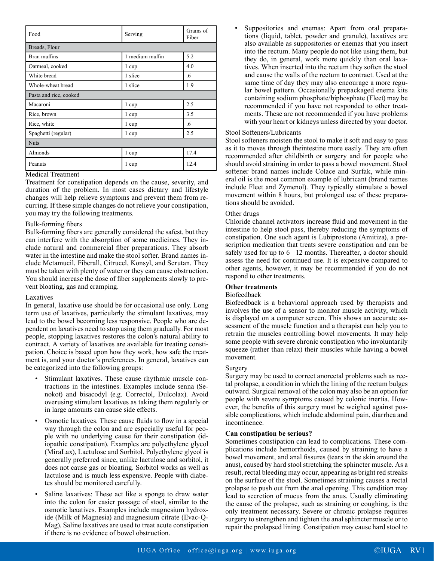| Food                   | Serving         | Grams of<br>Fiber |  |
|------------------------|-----------------|-------------------|--|
| Breads, Flour          |                 |                   |  |
| Bran muffins           | 1 medium muffin | 5.2               |  |
| Oatmeal, cooked        | 1 cup           | 4.0               |  |
| White bread            | 1 slice         | .6                |  |
| Whole-wheat bread      | 1 slice         | 1.9               |  |
| Pasta and rice, cooked |                 |                   |  |
| Macaroni               | 1 cup           | 2.5               |  |
| Rice, brown            | 1 cup           | 3.5               |  |
| Rice, white            | 1 cup           | .6                |  |
| Spaghetti (regular)    | 1 cup           | 2.5               |  |
| <b>Nuts</b>            |                 |                   |  |
| Almonds                | 1 cup           | 17.4              |  |
| Peanuts                | 1 cup           | 12.4              |  |

### Medical Treatment

Treatment for constipation depends on the cause, severity, and duration of the problem. In most cases dietary and lifestyle changes will help relieve symptoms and prevent them from recurring. If these simple changes do not relieve your constipation, you may try the following treatments.

#### Bulk-forming fibers

Bulk-forming fibers are generally considered the safest, but they can interfere with the absorption of some medicines. They include natural and commercial fiber preparations. They absorb water in the intestine and make the stool softer. Brand names include Metamucil, Fiberall, Citrucel, Konsyl, and Serutan. They must be taken with plenty of water or they can cause obstruction. You should increase the dose of fiber supplements slowly to prevent bloating, gas and cramping.

#### Laxatives

In general, laxative use should be for occasional use only. Long term use of laxatives, particularly the stimulant laxatives, may lead to the bowel becoming less responsive. People who are dependent on laxatives need to stop using them gradually. For most people, stopping laxatives restores the colon's natural ability to contract. A variety of laxatives are available for treating constipation. Choice is based upon how they work, how safe the treatment is, and your doctor's preferences. In general, laxatives can be categorized into the following groups:

- Stimulant laxatives. These cause rhythmic muscle contractions in the intestines. Examples include senna (Senokot) and bisacodyl (e.g. Correctol, Dulcolax). Avoid overusing stimulant laxatives as taking them regularly or in large amounts can cause side effects.
- Osmotic laxatives. These cause fluids to flow in a special way through the colon and are especially useful for people with no underlying cause for their constipation (idiopathic constipation). Examples are polyethylene glycol (MiraLax), Lactulose and Sorbitol. Polyethylene glycol is generally preferred since, unlike lactulose and sorbitol, it does not cause gas or bloating. Sorbitol works as well as lactulose and is much less expensive. People with diabetes should be monitored carefully.
- Saline laxatives: These act like a sponge to draw water into the colon for easier passage of stool, similar to the osmotic laxatives. Examples include magnesium hydroxide (Milk of Magnesia) and magnesium citrate (Evac-Q-Mag). Saline laxatives are used to treat acute constipation if there is no evidence of bowel obstruction.

Suppositories and enemas: Apart from oral preparations (liquid, tablet, powder and granule), laxatives are also available as suppositories or enemas that you insert into the rectum. Many people do not like using them, but they do, in general, work more quickly than oral laxatives. When inserted into the rectum they soften the stool and cause the walls of the rectum to contract. Used at the same time of day they may also encourage a more regular bowel pattern. Occasionally prepackaged enema kits containing sodium phosphate/biphosphate (Fleet) may be recommended if you have not responded to other treatments. These are not recommended if you have problems with your heart or kidneys unless directed by your doctor.

#### Stool Softeners/Lubricants

Stool softeners moisten the stool to make it soft and easy to pass as it to moves through theintestine more easily. They are often recommended after childbirth or surgery and for people who should avoid straining in order to pass a bowel movement. Stool softener brand names include Colace and Surfak, while mineral oil is the most common example of lubricant (brand names include Fleet and Zymenol). They typically stimulate a bowel movement within 8 hours, but prolonged use of these preparations should be avoided.

#### Other drugs

Chloride channel activators increase fluid and movement in the intestine to help stool pass, thereby reducing the symptoms of constipation. One such agent is Lubiprostone (Amitiza), a prescription medication that treats severe constipation and can be safely used for up to 6– 12 months. Thereafter, a doctor should assess the need for continued use. It is expensive compared to other agents, however, it may be recommended if you do not respond to other treatments.

#### **Other treatments**

#### Biofeedback

Biofeedback is a behavioral approach used by therapists and involves the use of a sensor to monitor muscle activity, which is displayed on a computer screen. This shows an accurate assessment of the muscle function and a therapist can help you to retrain the muscles controlling bowel movements. It may help some people with severe chronic constipation who involuntarily squeeze (rather than relax) their muscles while having a bowel movement.

#### Surgery

Surgery may be used to correct anorectal problems such as rectal prolapse, a condition in which the lining of the rectum bulges outward. Surgical removal of the colon may also be an option for people with severe symptoms caused by colonic inertia. However, the benefits of this surgery must be weighed against possible complications, which include abdominal pain, diarrhea and incontinence.

#### **Can constipation be serious?**

Sometimes constipation can lead to complications. These complications include hemorrhoids, caused by straining to have a bowel movement, and anal fissures (tears in the skin around the anus), caused by hard stool stretching the sphincter muscle. As a result, rectal bleeding may occur, appearing as bright red streaks on the surface of the stool. Sometimes straining causes a rectal prolapse to push out from the anal opening. This condition may lead to secretion of mucus from the anus. Usually eliminating the cause of the prolapse, such as straining or coughing, is the only treatment necessary. Severe or chronic prolapse requires surgery to strengthen and tighten the anal sphincter muscle or to repair the prolapsed lining. Constipation may cause hard stool to